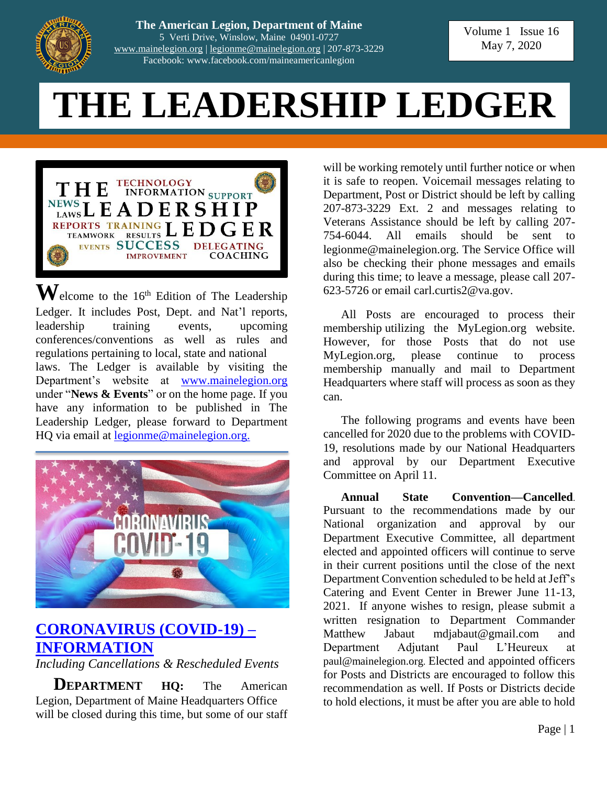

**The American Legion, Department of Maine** 5 Verti Drive, Winslow, Maine 04901-0727 [www.mainelegion.org](http://www.mainelegion.org/) | [legionme@mainelegion.org](mailto:legionme@mainelegion.org) | 207-873-3229 Facebook: www.facebook.com/maineamericanlegion

Volume 1 Issue 16 May 7, 2020

# **THE LEADERSHIP LEDGER**



 $\mathbf{W}$ elcome to the 16<sup>th</sup> Edition of The Leadership Ledger. It includes Post, Dept. and Nat'l reports, leadership training events, upcoming conferences/conventions as well as rules and regulations pertaining to local, state and national laws. The Ledger is available by visiting the Department's website at [www.mainelegion.org](http://www.mainelegion.org/) under "**News & Events**" or on the home page. If you have any information to be published in The Leadership Ledger, please forward to Department HQ via email at [legionme@mainelegion.org.](mailto:legionme@mainelegion.org)



## **[CORONAVIRUS \(COVID-19\)](http://www.mainelegion.org/pages/news-events/covid-19-info.php) – [INFORMATION](http://www.mainelegion.org/pages/news-events/covid-19-info.php)**

*Including Cancellations & Rescheduled Events*

**DEPARTMENT** HO: The American Legion, Department of Maine Headquarters Office will be closed during this time, but some of our staff

will be working remotely until further notice or when it is safe to reopen. Voicemail messages relating to Department, Post or District should be left by calling 207-873-3229 Ext. 2 and messages relating to Veterans Assistance should be left by calling 207- 754-6044. All emails should be sent to legionme@mainelegion.org. The Service Office will also be checking their phone messages and emails during this time; to leave a message, please call 207- 623-5726 or email carl.curtis2@va.gov.

All Posts are encouraged to process their membership utilizing the MyLegion.org website. However, for those Posts that do not use MyLegion.org, please continue to process membership manually and mail to Department Headquarters where staff will process as soon as they can.

The following programs and events have been cancelled for 2020 due to the problems with COVID-19, resolutions made by our National Headquarters and approval by our Department Executive Committee on April 11.

**Annual State Convention—Cancelled**. Pursuant to the recommendations made by our National organization and approval by our Department Executive Committee, all department elected and appointed officers will continue to serve in their current positions until the close of the next Department Convention scheduled to be held at Jeff's Catering and Event Center in Brewer June 11-13, 2021. If anyone wishes to resign, please submit a written resignation to Department Commander Matthew Jabaut mdjabaut@gmail.com and Department Adjutant Paul L'Heureux at paul@mainelegion.org. Elected and appointed officers for Posts and Districts are encouraged to follow this recommendation as well. If Posts or Districts decide to hold elections, it must be after you are able to hold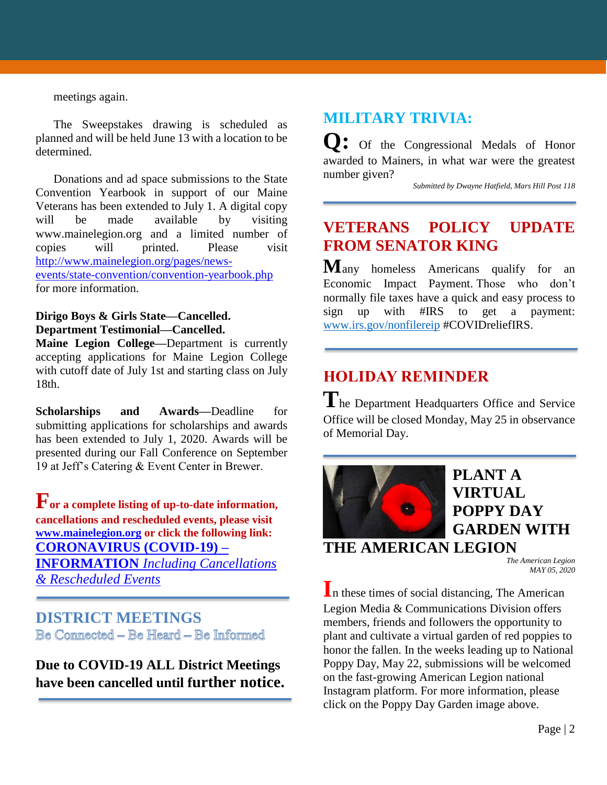meetings again.

The Sweepstakes drawing is scheduled as planned and will be held June 13 with a location to be determined.

Donations and ad space submissions to the State Convention Yearbook in support of our Maine Veterans has been extended to July 1. A digital copy will be made available by visiting www.mainelegion.org and a limited number of copies will printed. Please visit [http://www.mainelegion.org/pages/news](http://www.mainelegion.org/pages/news-events/state-convention/convention-yearbook.php)[events/state-convention/convention-yearbook.php](http://www.mainelegion.org/pages/news-events/state-convention/convention-yearbook.php) for more information.

#### **Dirigo Boys & Girls State—Cancelled. Department Testimonial—Cancelled.**

**Maine Legion College—**Department is currently accepting applications for Maine Legion College with cutoff date of July 1st and starting class on July 18th.

**Scholarships and Awards—**Deadline for submitting applications for scholarships and awards has been extended to July 1, 2020. Awards will be presented during our Fall Conference on September 19 at Jeff's Catering & Event Center in Brewer.

**For a complete listing of up-to-date information, cancellations and rescheduled events, please visit [www.mainelegion.org](http://www.mainelegion.org/) or click the following link: [CORONAVIRUS \(COVID-19\) –](http://www.mainelegion.org/pages/news-events/covid-19-info.php) INFORMATION** *[Including Cancellations](http://www.mainelegion.org/pages/news-events/covid-19-info.php)  [& Rescheduled Events](http://www.mainelegion.org/pages/news-events/covid-19-info.php)*

#### **DISTRICT MEETINGS** Be Connected - Be Heard - Be Informed

**Due to COVID-19 ALL District Meetings have been cancelled until further notice.** 

## **MILITARY TRIVIA:**

**Q:** Of the Congressional Medals of Honor awarded to Mainers, in what war were the greatest number given?

*Submitted by Dwayne Hatfield, Mars Hill Post 118*

## **VETERANS POLICY UPDATE FROM SENATOR KING**

**M**any homeless Americans qualify for an Economic Impact Payment. Those who don't normally file taxes have a quick and easy process to sign up with #IRS to get a payment: [www.irs.gov/nonfilereip](https://outreach.senate.gov/iqextranet/iqClickTrk.aspx?&cid=quorum_king-iq&crop=14531QQQ7581477QQQ6029671QQQ7967273&report_id=&redirect=http%3a%2f%2fwww.irs.gov%2fnonfilereip&redir_log=334232143988216) #COVIDreliefIRS.

## **HOLIDAY REMINDER**

**T**he Department Headquarters Office and Service Office will be closed Monday, May 25 in observance of Memorial Day.



## **PLANT A VIRTUAL POPPY DAY GARDEN WITH**

## **THE AMERICAN LEGION**

*The American Legion MAY 05, 2020*

**I**n these times of social distancing, The American Legion Media & Communications Division offers members, friends and followers the opportunity to plant and cultivate a virtual garden of red poppies to honor the fallen. In the weeks leading up to National Poppy Day, May 22, submissions will be welcomed on the fast-growing American Legion national Instagram platform. For more information, please click on the Poppy Day Garden image above.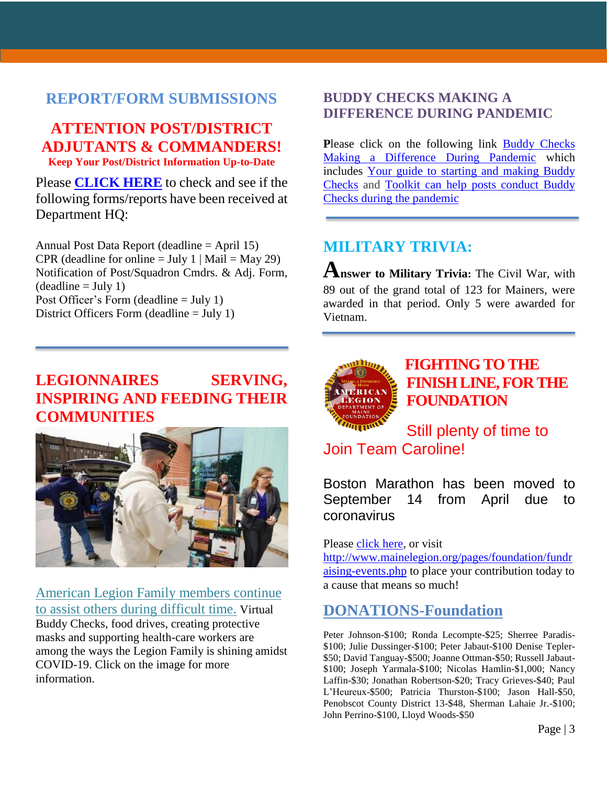#### **REPORT/FORM SUBMISSIONS**

#### **ATTENTION POST/DISTRICT ADJUTANTS & COMMANDERS! Keep Your Post/District Information Up-to-Date**

Please **[CLICK HERE](http://www.mainelegion.org/media/DIRECTORY_CALENDAR/EXCEL_POST_FORMS.pdf)** to check and see if the following forms/reports have been received at Department HQ:

Annual Post Data Report (deadline = April 15) CPR (deadline for online  $=$  July 1 | Mail  $=$  May 29) Notification of Post/Squadron Cmdrs. & Adj. Form,  $(deadline = July 1)$ Post Officer's Form (deadline = July 1) District Officers Form (deadline = July 1)

## **LEGIONNAIRES SERVING, INSPIRING AND FEEDING THEIR COMMUNITIES**



American Legion Family members continue to assist others during difficult time. Virtual Buddy Checks, food drives, creating protective

masks and supporting health-care workers are among the ways the Legion Family is shining amidst COVID-19. Click on the image for more information.

#### **BUDDY CHECKS MAKING A DIFFERENCE DURING PANDEMIC**

**Please click on the following link Buddy Checks** [Making a Difference During Pandemic](https://editor.legionemail.com/vo/?FileID=92a4f0e0-b642-4e44-adcc-173407caded1&m=82d0e11f-f596-41f0-a960-9e19840f46df&MailID=39372314&listid=84772&RecipientID=19142040036) which includes [Your guide to starting and making Buddy](https://www.legion.org/membership/248690/your-guide-starting-and-making-buddy-checks)  [Checks](https://www.legion.org/membership/248690/your-guide-starting-and-making-buddy-checks) and [Toolkit can help posts conduct Buddy](https://www.legion.org/membership/248657/toolkit-can-help-posts-conduct-buddy-checks-during-pandemic)  [Checks during the pandemic](https://www.legion.org/membership/248657/toolkit-can-help-posts-conduct-buddy-checks-during-pandemic)

## **MILITARY TRIVIA:**

**Answer to Military Trivia:** The Civil War, with 89 out of the grand total of 123 for Mainers, were awarded in that period. Only 5 were awarded for Vietnam.



## **[FIGHTING TO THE](https://www.gofundme.com/f/5hx779-a-cause-i-care-about-needs-help?utm_source=customer&utm_medium=copy_link&utm_campaign=p_cf+share-flow-1)  [FINISH LINE, FOR THE](https://www.gofundme.com/f/5hx779-a-cause-i-care-about-needs-help?utm_source=customer&utm_medium=copy_link&utm_campaign=p_cf+share-flow-1)  [FOUNDATION](https://www.gofundme.com/f/5hx779-a-cause-i-care-about-needs-help?utm_source=customer&utm_medium=copy_link&utm_campaign=p_cf+share-flow-1)**

Still plenty of time to Join Team Caroline!

Boston Marathon has been moved to September 14 from April due to coronavirus

Please [click here,](https://www.gofundme.com/f/5hx779-a-cause-i-care-about-needs-help?utm_source=customer&utm_medium=copy_link&utm_campaign=p_cf+share-flow-1) or visit [http://www.mainelegion.org/pages/foundation/fundr](http://www.mainelegion.org/pages/foundation/fundraising-events.php) [aising-events.php](http://www.mainelegion.org/pages/foundation/fundraising-events.php) to place your contribution today to a cause that means so much!

## **DONATIONS-Foundation**

Peter Johnson-\$100; Ronda Lecompte-\$25; Sherree Paradis- \$100; Julie Dussinger-\$100; Peter Jabaut-\$100 Denise Tepler- \$50; David Tanguay-\$500; Joanne Ottman-\$50; Russell Jabaut- \$100; Joseph Yarmala-\$100; Nicolas Hamlin-\$1,000; Nancy Laffin-\$30; Jonathan Robertson-\$20; Tracy Grieves-\$40; Paul L'Heureux-\$500; Patricia Thurston-\$100; Jason Hall-\$50, Penobscot County District 13-\$48, Sherman Lahaie Jr.-\$100; John Perrino-\$100, Lloyd Woods-\$50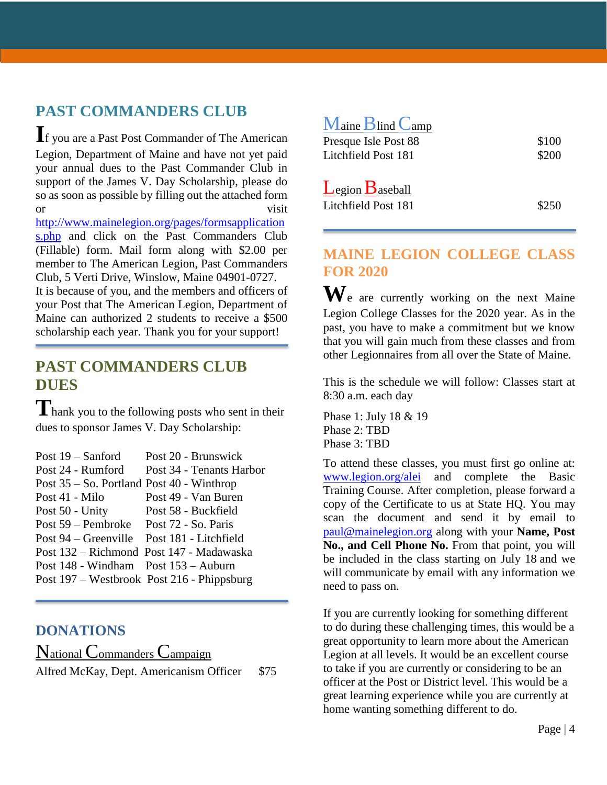## **PAST COMMANDERS CLUB**

**I**f you are a Past Post Commander of The American Legion, Department of Maine and have not yet paid your annual dues to the Past Commander Club in support of the James V. Day Scholarship, please do so as soon as possible by filling out the attached form or visit

[http://www.mainelegion.org/pages/formsapplication](http://www.mainelegion.org/pages/formsapplications.php) [s.php](http://www.mainelegion.org/pages/formsapplications.php) and click on the Past Commanders Club (Fillable) form. Mail form along with \$2.00 per member to The American Legion, Past Commanders Club, 5 Verti Drive, Winslow, Maine 04901-0727. It is because of you, and the members and officers of your Post that The American Legion, Department of Maine can authorized 2 students to receive a \$500 scholarship each year. Thank you for your support!

#### **PAST COMMANDERS CLUB DUES**

**T**hank you to the following posts who sent in their dues to sponsor James V. Day Scholarship:

| Post $19 -$ Sanford                           | Post 20 - Brunswick                        |
|-----------------------------------------------|--------------------------------------------|
| Post 24 - Rumford                             | Post 34 - Tenants Harbor                   |
| Post $35 -$ So. Portland Post $40$ - Winthrop |                                            |
| Post 41 - Milo                                | Post 49 - Van Buren                        |
| Post 50 - Unity                               | Post 58 - Buckfield                        |
| Post 59 – Pembroke Post 72 - So. Paris        |                                            |
| Post 94 – Greenville Post 181 - Litchfield    |                                            |
|                                               | Post 132 – Richmond Post 147 - Madawaska   |
| Post 148 - Windham Post 153 - Auburn          |                                            |
|                                               | Post 197 – Westbrook Post 216 - Phippsburg |

#### **DONATIONS**

National Commanders Campaign Alfred McKay, Dept. Americanism Officer \$75

| Maine Blind Camp                             |       |
|----------------------------------------------|-------|
| Presque Isle Post 88                         | \$100 |
| Litchfield Post 181                          | \$200 |
| $L$ egion $B$ aseball<br>Litchfield Post 181 | \$250 |

#### **MAINE LEGION COLLEGE CLASS FOR 2020**

**W**e are currently working on the next Maine Legion College Classes for the 2020 year. As in the past, you have to make a commitment but we know that you will gain much from these classes and from other Legionnaires from all over the State of Maine.

This is the schedule we will follow: Classes start at 8:30 a.m. each day

Phase 1: July 18 & 19 Phase 2: TBD Phase 3: TBD

To attend these classes, you must first go online at: [www.legion.org/alei](http://www.legion.org/alei) and complete the Basic Training Course. After completion, please forward a copy of the Certificate to us at State HQ. You may scan the document and send it by email to [paul@mainelegion.org](mailto:paul@mainelegion.org) along with your **Name, Post** No., and Cell Phone No. From that point, you will be included in the class starting on July 18 and we will communicate by email with any information we need to pass on.

If you are currently looking for something different to do during these challenging times, this would be a great opportunity to learn more about the American Legion at all levels. It would be an excellent course to take if you are currently or considering to be an officer at the Post or District level. This would be a great learning experience while you are currently at home wanting something different to do.